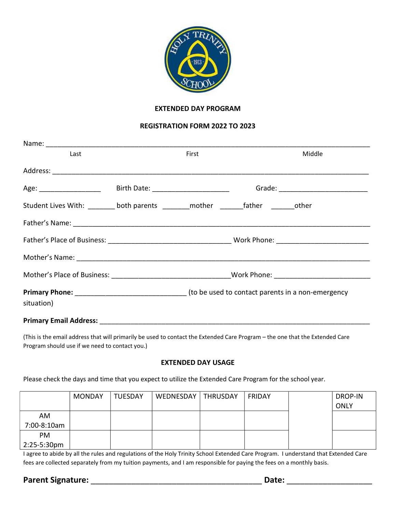

## EXTENDED DAY PROGRAM

## REGISTRATION FORM 2022 TO 2023

| Last                                                                                                 | First | Middle |
|------------------------------------------------------------------------------------------------------|-------|--------|
|                                                                                                      |       |        |
|                                                                                                      |       |        |
| Student Lives With: ________ both parents ________ mother ________father ________other               |       |        |
|                                                                                                      |       |        |
|                                                                                                      |       |        |
|                                                                                                      |       |        |
| Mother's Place of Business: __________________________________Work Phone: __________________________ |       |        |
| <b>Primary Phone:</b> Material According to be used to contact parents in a non-emergency            |       |        |
| situation)                                                                                           |       |        |
|                                                                                                      |       |        |

(This is the email address that will primarily be used to contact the Extended Care Program – the one that the Extended Care Program should use if we need to contact you.)

## EXTENDED DAY USAGE

Please check the days and time that you expect to utilize the Extended Care Program for the school year.

|                       | <b>MONDAY</b> | <b>TUESDAY</b> | WEDNESDAY | <b>THRUSDAY</b> | <b>FRIDAY</b> | DROP-IN<br><b>ONLY</b> |
|-----------------------|---------------|----------------|-----------|-----------------|---------------|------------------------|
| AM                    |               |                |           |                 |               |                        |
| 7:00-8:10am           |               |                |           |                 |               |                        |
| PM                    |               |                |           |                 |               |                        |
| $2:25-5:30 \text{pm}$ |               |                |           |                 |               |                        |

I agree to abide by all the rules and regulations of the Holy Trinity School Extended Care Program. I understand that Extended Care fees are collected separately from my tuition payments, and I am responsible for paying the fees on a monthly basis.

Parent Signature: \_\_\_\_\_\_\_\_\_\_\_\_\_\_\_\_\_\_\_\_\_\_\_\_\_\_\_\_\_\_\_\_\_\_\_\_\_\_ Date: \_\_\_\_\_\_\_\_\_\_\_\_\_\_\_\_\_\_\_